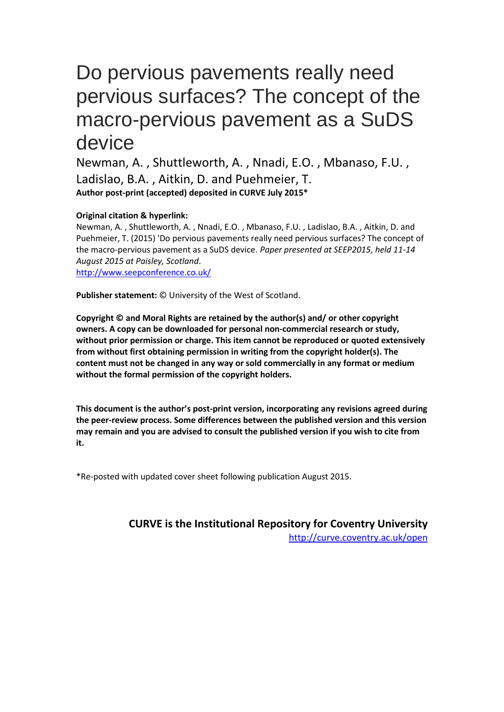# Do pervious pavements really need pervious surfaces? The concept of the macro-pervious pavement as a SuDS device

Newman, A. , Shuttleworth, A. , Nnadi, E.O. , Mbanaso, F.U. , Ladislao, B.A. , Aitkin, D. and Puehmeier, T. **Author post-print (accepted) deposited in CURVE July 2015\***

#### **Original citation & hyperlink:**

Newman, A. , Shuttleworth, A. , Nnadi, E.O. , Mbanaso, F.U. , Ladislao, B.A. , Aitkin, D. and Puehmeier, T. (2015) 'Do pervious pavements really need pervious surfaces? The concept of the macro-pervious pavement as a SuDS device. *Paper presented at SEEP2015, held 11-14 August 2015 at Paisley, Scotland*. <http://www.seepconference.co.uk/>

**Publisher statement:** © University of the West of Scotland.

**Copyright © and Moral Rights are retained by the author(s) and/ or other copyright owners. A copy can be downloaded for personal non-commercial research or study, without prior permission or charge. This item cannot be reproduced or quoted extensively from without first obtaining permission in writing from the copyright holder(s). The content must not be changed in any way or sold commercially in any format or medium without the formal permission of the copyright holders.** 

**This document is the author's post-print version, incorporating any revisions agreed during the peer-review process. Some differences between the published version and this version may remain and you are advised to consult the published version if you wish to cite from it.** 

\*Re-posted with updated cover sheet following publication August 2015.

**CURVE is the Institutional Repository for Coventry University** http://curve.coventry.ac.uk/open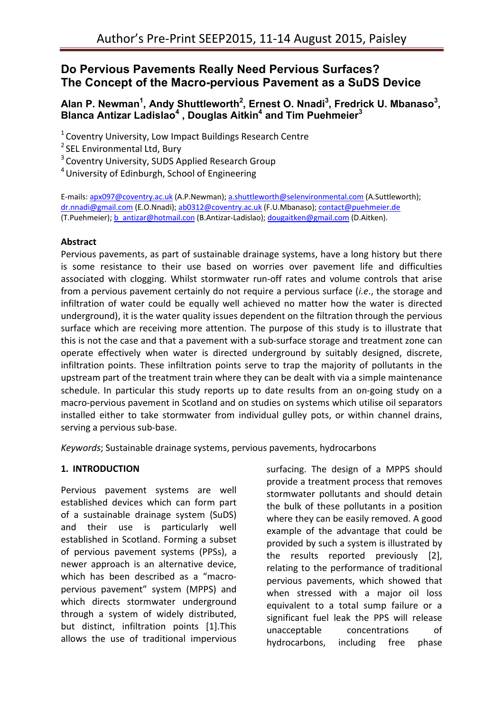# **Do Pervious Pavements Really Need Pervious Surfaces? The Concept of the Macro-pervious Pavement as a SuDS Device**

# **Alan P. Newman<sup>1</sup> , Andy Shuttleworth<sup>2</sup> , Ernest O. Nnadi<sup>3</sup> , Fredrick U. Mbanaso<sup>3</sup> , Blanca Antizar Ladislao<sup>4</sup> , Douglas Aitkin<sup>4</sup> and Tim Puehmeier<sup>3</sup>**

 $1$  Coventry University, Low Impact Buildings Research Centre

<sup>2</sup> SEL Environmental Ltd, Bury

<sup>3</sup> Coventry University, SUDS Applied Research Group

<sup>4</sup>University of Edinburgh, School of Engineering

E-mails: apx097@coventry.ac.uk (A.P.Newman); a.shuttleworth@selenvironmental.com (A.Suttleworth); dr.nnadi@gmail.com (E.O.Nnadi); ab0312@coventry.ac.uk (F.U.Mbanaso); contact@puehmeier.de (T.Puehmeier); b\_antizar@hotmail.con (B.Antizar-Ladislao); dougaitken@gmail.com (D.Aitken).

#### **Abstract**

Pervious pavements, as part of sustainable drainage systems, have a long history but there is some resistance to their use based on worries over pavement life and difficulties associated with clogging. Whilst stormwater run-off rates and volume controls that arise from a pervious pavement certainly do not require a pervious surface (*i.e*., the storage and infiltration of water could be equally well achieved no matter how the water is directed underground), it is the water quality issues dependent on the filtration through the pervious surface which are receiving more attention. The purpose of this study is to illustrate that this is not the case and that a pavement with a sub-surface storage and treatment zone can operate effectively when water is directed underground by suitably designed, discrete, infiltration points. These infiltration points serve to trap the majority of pollutants in the upstream part of the treatment train where they can be dealt with via a simple maintenance schedule. In particular this study reports up to date results from an on-going study on a macro-pervious pavement in Scotland and on studies on systems which utilise oil separators installed either to take stormwater from individual gulley pots, or within channel drains, serving a pervious sub-base.

*Keywords*; Sustainable drainage systems, pervious pavements, hydrocarbons

#### **1. INTRODUCTION**

Pervious pavement systems are well established devices which can form part of a sustainable drainage system (SuDS) and their use is particularly well established in Scotland. Forming a subset of pervious pavement systems (PPSs), a newer approach is an alternative device, which has been described as a "macropervious pavement" system (MPPS) and which directs stormwater underground through a system of widely distributed, but distinct, infiltration points [1].This allows the use of traditional impervious

surfacing. The design of a MPPS should provide a treatment process that removes stormwater pollutants and should detain the bulk of these pollutants in a position where they can be easily removed. A good example of the advantage that could be provided by such a system is illustrated by the results reported previously [2], relating to the performance of traditional pervious pavements, which showed that when stressed with a major oil loss equivalent to a total sump failure or a significant fuel leak the PPS will release unacceptable concentrations of hydrocarbons, including free phase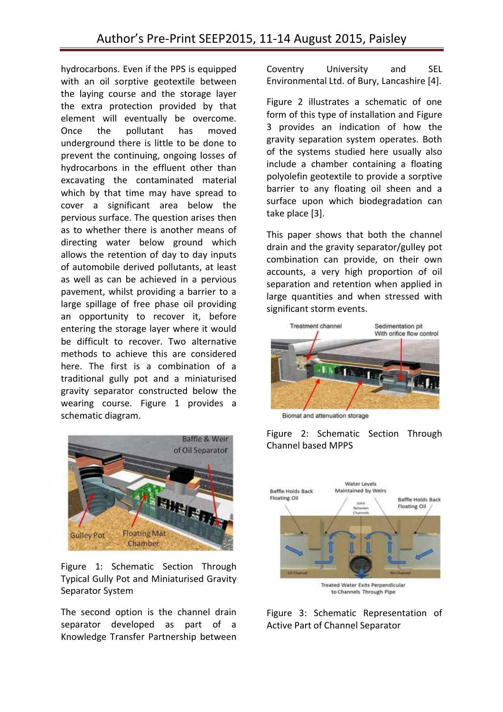hydrocarbons. Even if the PPS is equipped with an oil sorptive geotextile between the laying course and the storage layer the extra protection provided by that element will eventually be overcome. Once the pollutant has moved underground there is little to be done to prevent the continuing, ongoing losses of hydrocarbons in the effluent other than excavating the contaminated material which by that time may have spread to cover a significant area below the pervious surface. The question arises then as to whether there is another means of directing water below ground which allows the retention of day to day inputs of automobile derived pollutants, at least as well as can be achieved in a pervious pavement, whilst providing a barrier to a large spillage of free phase oil providing an opportunity to recover it, before entering the storage layer where it would be difficult to recover. Two alternative methods to achieve this are considered here. The first is a combination of a traditional gully pot and a miniaturised gravity separator constructed below the wearing course. Figure 1 provides a schematic diagram.



Figure 1: Schematic Section Through Typical Gully Pot and Miniaturised Gravity Separator System

The second option is the channel drain separator developed as part of a Knowledge Transfer Partnership between

Coventry University and SEL Environmental Ltd. of Bury, Lancashire [4].

Figure 2 illustrates a schematic of one form of this type of installation and Figure 3 provides an indication of how the gravity separation system operates. Both of the systems studied here usually also include a chamber containing a floating polyolefin geotextile to provide a sorptive barrier to any floating oil sheen and a surface upon which biodegradation can take place [3].

This paper shows that both the channel drain and the gravity separator/gulley pot combination can provide, on their own accounts, a very high proportion of oil separation and retention when applied in large quantities and when stressed with significant storm events.



Biomat and attenuation storage

Figure 2: Schematic Section Through Channel based MPPS



to Channels Through Pipe

Figure 3: Schematic Representation of Active Part of Channel Separator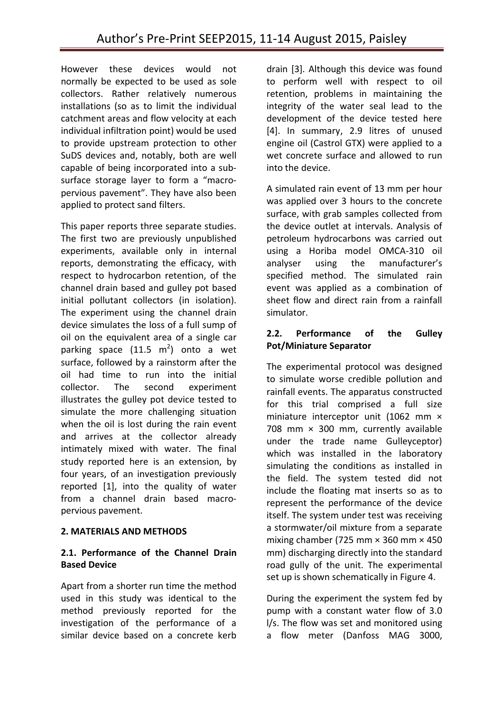However these devices would not normally be expected to be used as sole collectors. Rather relatively numerous installations (so as to limit the individual catchment areas and flow velocity at each individual infiltration point) would be used to provide upstream protection to other SuDS devices and, notably, both are well capable of being incorporated into a subsurface storage layer to form a "macropervious pavement". They have also been applied to protect sand filters.

This paper reports three separate studies. The first two are previously unpublished experiments, available only in internal reports, demonstrating the efficacy, with respect to hydrocarbon retention, of the channel drain based and gulley pot based initial pollutant collectors (in isolation). The experiment using the channel drain device simulates the loss of a full sump of oil on the equivalent area of a single car parking space  $(11.5 \text{ m}^2)$  onto a wet surface, followed by a rainstorm after the oil had time to run into the initial collector. The second experiment illustrates the gulley pot device tested to simulate the more challenging situation when the oil is lost during the rain event and arrives at the collector already intimately mixed with water. The final study reported here is an extension, by four years, of an investigation previously reported [1], into the quality of water from a channel drain based macropervious pavement.

# **2. MATERIALS AND METHODS**

#### **2.1. Performance of the Channel Drain Based Device**

Apart from a shorter run time the method used in this study was identical to the method previously reported for the investigation of the performance of a similar device based on a concrete kerb

drain [3]. Although this device was found to perform well with respect to oil retention, problems in maintaining the integrity of the water seal lead to the development of the device tested here [4]. In summary, 2.9 litres of unused engine oil (Castrol GTX) were applied to a wet concrete surface and allowed to run into the device.

A simulated rain event of 13 mm per hour was applied over 3 hours to the concrete surface, with grab samples collected from the device outlet at intervals. Analysis of petroleum hydrocarbons was carried out using a Horiba model OMCA-310 oil analyser using the manufacturer's specified method. The simulated rain event was applied as a combination of sheet flow and direct rain from a rainfall simulator.

#### **2.2. Performance of the Gulley Pot/Miniature Separator**

The experimental protocol was designed to simulate worse credible pollution and rainfall events. The apparatus constructed for this trial comprised a full size miniature interceptor unit (1062 mm  $\times$ 708 mm  $\times$  300 mm, currently available under the trade name Gulleyceptor) which was installed in the laboratory simulating the conditions as installed in the field. The system tested did not include the floating mat inserts so as to represent the performance of the device itself. The system under test was receiving a stormwater/oil mixture from a separate mixing chamber (725 mm  $\times$  360 mm  $\times$  450 mm) discharging directly into the standard road gully of the unit. The experimental set up is shown schematically in Figure 4.

During the experiment the system fed by pump with a constant water flow of 3.0 l/s. The flow was set and monitored using a flow meter (Danfoss MAG 3000,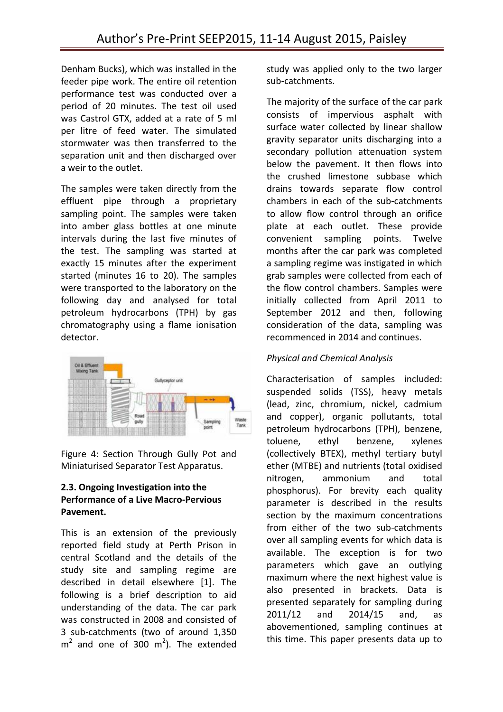Denham Bucks), which was installed in the feeder pipe work. The entire oil retention performance test was conducted over a period of 20 minutes. The test oil used was Castrol GTX, added at a rate of 5 ml per litre of feed water. The simulated stormwater was then transferred to the separation unit and then discharged over a weir to the outlet.

The samples were taken directly from the effluent pipe through a proprietary sampling point. The samples were taken into amber glass bottles at one minute intervals during the last five minutes of the test. The sampling was started at exactly 15 minutes after the experiment started (minutes 16 to 20). The samples were transported to the laboratory on the following day and analysed for total petroleum hydrocarbons (TPH) by gas chromatography using a flame ionisation detector.



Figure 4: Section Through Gully Pot and Miniaturised Separator Test Apparatus.

#### **2.3. Ongoing Investigation into the Performance of a Live Macro-Pervious Pavement.**

This is an extension of the previously reported field study at Perth Prison in central Scotland and the details of the study site and sampling regime are described in detail elsewhere [1]. The following is a brief description to aid understanding of the data. The car park was constructed in 2008 and consisted of 3 sub-catchments (two of around 1,350  $m<sup>2</sup>$  and one of 300  $m<sup>2</sup>$ ). The extended

study was applied only to the two larger sub-catchments.

The majority of the surface of the car park consists of impervious asphalt with surface water collected by linear shallow gravity separator units discharging into a secondary pollution attenuation system below the pavement. It then flows into the crushed limestone subbase which drains towards separate flow control chambers in each of the sub-catchments to allow flow control through an orifice plate at each outlet. These provide convenient sampling points. Twelve months after the car park was completed a sampling regime was instigated in which grab samples were collected from each of the flow control chambers. Samples were initially collected from April 2011 to September 2012 and then, following consideration of the data, sampling was recommenced in 2014 and continues.

# *Physical and Chemical Analysis*

Characterisation of samples included: suspended solids (TSS), heavy metals (lead, zinc, chromium, nickel, cadmium and copper), organic pollutants, total petroleum hydrocarbons (TPH), benzene, toluene, ethyl benzene, xylenes (collectively BTEX), methyl tertiary butyl ether (MTBE) and nutrients (total oxidised nitrogen, ammonium and total phosphorus). For brevity each quality parameter is described in the results section by the maximum concentrations from either of the two sub-catchments over all sampling events for which data is available. The exception is for two parameters which gave an outlying maximum where the next highest value is also presented in brackets. Data is presented separately for sampling during 2011/12 and 2014/15 and, as abovementioned, sampling continues at this time. This paper presents data up to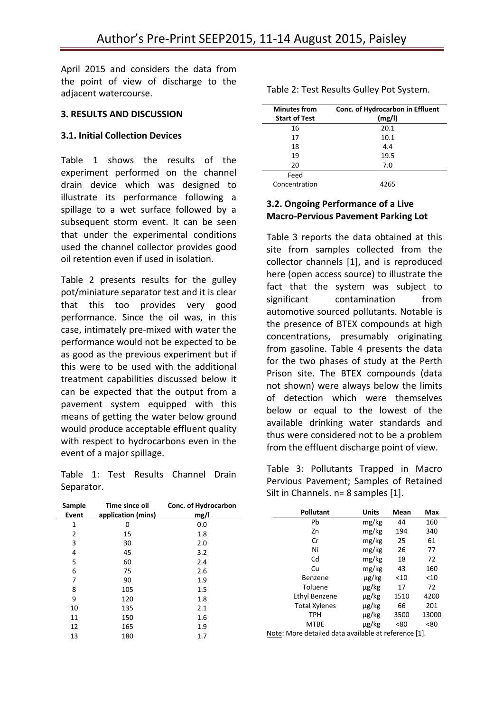April 2015 and considers the data from the point of view of discharge to the adjacent watercourse.

#### **3. RESULTS AND DISCUSSION**

#### **3.1. Initial Collection Devices**

Table 1 shows the results of the experiment performed on the channel drain device which was designed to illustrate its performance following a spillage to a wet surface followed by a subsequent storm event. It can be seen that under the experimental conditions used the channel collector provides good oil retention even if used in isolation.

Table 2 presents results for the gulley pot/miniature separator test and it is clear that this too provides very good performance. Since the oil was, in this case, intimately pre-mixed with water the performance would not be expected to be as good as the previous experiment but if this were to be used with the additional treatment capabilities discussed below it can be expected that the output from a pavement system equipped with this means of getting the water below ground would produce acceptable effluent quality with respect to hydrocarbons even in the event of a major spillage.

Table 1: Test Results Channel Drain Separator.

| <b>Minutes from</b><br><b>Start of Test</b> | Conc. of Hydrocarbon in Effluent<br>(mg/l) |
|---------------------------------------------|--------------------------------------------|
| 16                                          | 20.1                                       |
| 17                                          | 10.1                                       |
| 18                                          | 4.4                                        |
| 19                                          | 19.5                                       |
| 20                                          | 7.0                                        |
| Feed                                        |                                            |
| Concentration                               | 4265                                       |

Table 2: Test Results Gulley Pot System.

# **3.2. Ongoing Performance of a Live Macro-Pervious Pavement Parking Lot**

Table 3 reports the data obtained at this site from samples collected from the collector channels [1], and is reproduced here (open access source) to illustrate the fact that the system was subject to significant contamination from automotive sourced pollutants. Notable is the presence of BTEX compounds at high concentrations, presumably originating from gasoline. Table 4 presents the data for the two phases of study at the Perth Prison site. The BTEX compounds (data not shown) were always below the limits of detection which were themselves below or equal to the lowest of the available drinking water standards and thus were considered not to be a problem from the effluent discharge point of view.

Table 3: Pollutants Trapped in Macro Pervious Pavement; Samples of Retained Silt in Channels. n= 8 samples [1].

| Sample<br>Event | Time since oil<br>application (mins) | Conc. of Hydrocarbon<br>mg/l | <b>Pollutant</b>                                     | <b>Units</b> | Mean | Max   |
|-----------------|--------------------------------------|------------------------------|------------------------------------------------------|--------------|------|-------|
|                 | 0                                    | $0.0\,$                      | Pb                                                   | mg/kg        | 44   | 160   |
| 2               | 15                                   | 1.8                          | Zn                                                   | mg/kg        | 194  | 340   |
| 3               | 30                                   | 2.0                          | Cr                                                   | mg/kg        | 25   | 61    |
| 4               | 45                                   | 3.2                          | Ni                                                   | mg/kg        | 26   | 77    |
| 5               | 60                                   | 2.4                          | Cd                                                   | mg/kg        | 18   | 72    |
| 6               | 75                                   | 2.6                          | Cu                                                   | mg/kg        | 43   | 160   |
| 7               | 90                                   | 1.9                          | Benzene                                              | $\mu$ g/kg   | $10$ | < 10  |
| 8               | 105                                  | 1.5                          | Toluene                                              | µg/kg        | 17   | 72    |
| 9               | 120                                  | 1.8                          | Ethyl Benzene                                        | µg/kg        | 1510 | 4200  |
| 10              | 135                                  | 2.1                          | <b>Total Xylenes</b>                                 | $\mu$ g/kg   | 66   | 201   |
| 11              | 150                                  | 1.6                          | <b>TPH</b>                                           | µg/kg        | 3500 | 13000 |
| 12              | 165                                  | 1.9                          | <b>MTBE</b>                                          | µg/kg        | < 80 | <80   |
| 13              | 180                                  | 1.7                          | Note: More detailed data available at reference [1]. |              |      |       |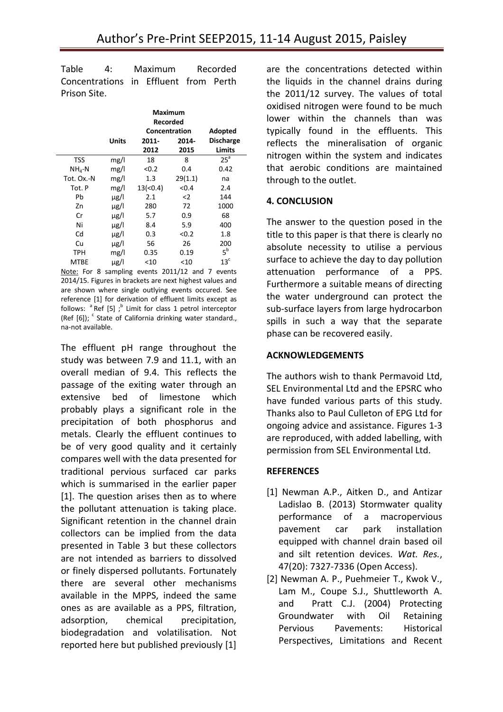Table 4: Maximum Recorded Concentrations in Effluent from Perth Prison Site.

|             |           | Maximum<br><b>Recorded</b><br>Concentration | Adopted       |                            |
|-------------|-----------|---------------------------------------------|---------------|----------------------------|
|             | Units     | 2011-<br>2012                               | 2014-<br>2015 | <b>Discharge</b><br>Limits |
| <b>TSS</b>  | mg/l      | 18                                          | 8             | 25 <sup>a</sup>            |
|             |           |                                             |               |                            |
| $NH_4-N$    | mg/l      | < 0.2                                       | 0.4           | 0.42                       |
| Tot. Ox.-N  | mg/l      | 1.3                                         | 29(1.1)       | na                         |
| Tot. P      | mg/l      | 13( <sub>0.4</sub> )                        | < 0.4         | 2.4                        |
| Pb          | $\mu$ g/l | 2.1                                         | $\leq$        | 144                        |
| Zn          | $\mu$ g/l | 280                                         | 72            | 1000                       |
| Cr          | $\mu$ g/l | 5.7                                         | 0.9           | 68                         |
| Ni          | $\mu$ g/l | 8.4                                         | 5.9           | 400                        |
| Cd          | $\mu$ g/l | 0.3                                         | < 0.2         | 1.8                        |
| Cu          | $\mu$ g/l | 56                                          | 26            | 200                        |
| <b>TPH</b>  | mg/l      | 0.35                                        | 0.19          | $5^b$                      |
| <b>MTBE</b> | $\mu$ g/l | $<$ 10                                      | $<$ 10        | 13 <sup>c</sup>            |

Note: For 8 sampling events 2011/12 and 7 events 2014/15. Figures in brackets are next highest values and are shown where single outlying events occured. See reference [1] for derivation of effluent limits except as follows:  $a^a$  Ref [5]; <sup>b</sup> Limit for class 1 petrol interceptor (Ref  $[6]$ );  $\textdegree$  State of California drinking water standard., na-not available.

The effluent pH range throughout the study was between 7.9 and 11.1, with an overall median of 9.4. This reflects the passage of the exiting water through an extensive bed of limestone which probably plays a significant role in the precipitation of both phosphorus and metals. Clearly the effluent continues to be of very good quality and it certainly compares well with the data presented for traditional pervious surfaced car parks which is summarised in the earlier paper [1]. The question arises then as to where the pollutant attenuation is taking place. Significant retention in the channel drain collectors can be implied from the data presented in Table 3 but these collectors are not intended as barriers to dissolved or finely dispersed pollutants. Fortunately there are several other mechanisms available in the MPPS, indeed the same ones as are available as a PPS, filtration, adsorption, chemical precipitation, biodegradation and volatilisation. Not reported here but published previously [1]

are the concentrations detected within the liquids in the channel drains during the 2011/12 survey. The values of total oxidised nitrogen were found to be much lower within the channels than was typically found in the effluents. This reflects the mineralisation of organic nitrogen within the system and indicates that aerobic conditions are maintained through to the outlet.

#### **4. CONCLUSION**

The answer to the question posed in the title to this paper is that there is clearly no absolute necessity to utilise a pervious surface to achieve the day to day pollution attenuation performance of a PPS. Furthermore a suitable means of directing the water underground can protect the sub-surface layers from large hydrocarbon spills in such a way that the separate phase can be recovered easily.

### **ACKNOWLEDGEMENTS**

The authors wish to thank Permavoid Ltd, SEL Environmental Ltd and the EPSRC who have funded various parts of this study. Thanks also to Paul Culleton of EPG Ltd for ongoing advice and assistance. Figures 1-3 are reproduced, with added labelling, with permission from SEL Environmental Ltd.

# **REFERENCES**

- [1] Newman A.P., Aitken D., and Antizar Ladislao B. (2013) Stormwater quality performance of a macropervious pavement car park installation equipped with channel drain based oil and silt retention devices. *Wat. Res.*, 47(20): 7327-7336 (Open Access).
- [2] Newman A. P., Puehmeier T., Kwok V., Lam M., Coupe S.J., Shuttleworth A. and Pratt C.J. (2004) Protecting Groundwater with Oil Retaining Pervious Pavements: Historical Perspectives, Limitations and Recent